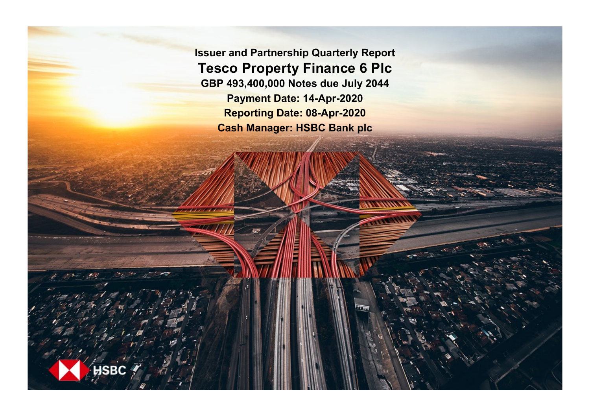**Issuer and Partnership Quarterly Report Tesco Property Finance 6 Plc GBP 493,400,000 Notes due July 2044 Payment Date: 14-Apr-2020 Reporting Date: 08-Apr-2020 Cash Manager: HSBC Bank plc**

**SBC**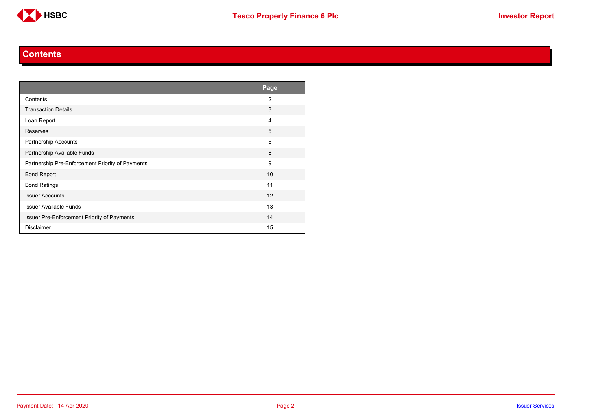

#### **Contents**

<span id="page-1-0"></span>

|                                                  | Page           |
|--------------------------------------------------|----------------|
| Contents                                         | $\overline{2}$ |
| <b>Transaction Details</b>                       | 3              |
| Loan Report                                      | 4              |
| Reserves                                         | 5              |
| <b>Partnership Accounts</b>                      | 6              |
| Partnership Available Funds                      | 8              |
| Partnership Pre-Enforcement Priority of Payments | 9              |
| <b>Bond Report</b>                               | 10             |
| <b>Bond Ratings</b>                              | 11             |
| <b>Issuer Accounts</b>                           | 12             |
| <b>Issuer Available Funds</b>                    | 13             |
| Issuer Pre-Enforcement Priority of Payments      | 14             |
| <b>Disclaimer</b>                                | 15             |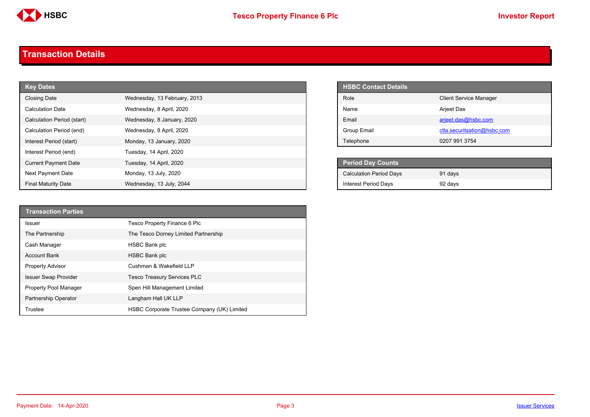

#### <span id="page-2-0"></span>**Transaction Details**

| <b>Key Dates</b>            |                              | <b>HSBC Contact Details</b>    |
|-----------------------------|------------------------------|--------------------------------|
| <b>Closing Date</b>         | Wednesday, 13 February, 2013 | Role                           |
| <b>Calculation Date</b>     | Wednesday, 8 April, 2020     | Name                           |
| Calculation Period (start)  | Wednesday, 8 January, 2020   | Email                          |
| Calculation Period (end)    | Wednesday, 8 April, 2020     | Group Email                    |
| Interest Period (start)     | Monday, 13 January, 2020     | Telephone                      |
| Interest Period (end)       | Tuesday, 14 April, 2020      |                                |
| <b>Current Payment Date</b> | Tuesday, 14 April, 2020      | <b>Period Day Counts</b>       |
| Next Payment Date           | Monday, 13 July, 2020        | <b>Calculation Period Days</b> |
| <b>Final Maturity Date</b>  | Wednesday, 13 July, 2044     | <b>Interest Period Days</b>    |

| <b>HSBC Contact Details</b> |                               |
|-----------------------------|-------------------------------|
| Role                        | <b>Client Service Manager</b> |
| Name                        | <b>Arjeet Das</b>             |
| <b>Fmail</b>                | arjeet.das@hsbc.com           |
| Group Email                 | ctla.securitsation@hsbc.com   |
| Telephone                   | 0207 991 3754                 |

| <b>Period Day Counts</b>       |         |  |
|--------------------------------|---------|--|
| <b>Calculation Period Days</b> | 91 days |  |
| <b>Interest Period Days</b>    | 92 days |  |

| <b>Transaction Parties</b>  |                                             |
|-----------------------------|---------------------------------------------|
| <b>Issuer</b>               | Tesco Property Finance 6 Plc                |
| The Partnership             | The Tesco Dorney Limited Partnership        |
| Cash Manager                | <b>HSBC Bank plc</b>                        |
| <b>Account Bank</b>         | <b>HSBC Bank plc</b>                        |
| <b>Property Advisor</b>     | Cushman & Wakefield LLP                     |
| <b>Issuer Swap Provider</b> | <b>Tesco Treasury Services PLC</b>          |
| Property Pool Manager       | Spen Hill Management Limited                |
| Partnership Operator        | Langham Hall UK LLP                         |
| Trustee                     | HSBC Corporate Trustee Company (UK) Limited |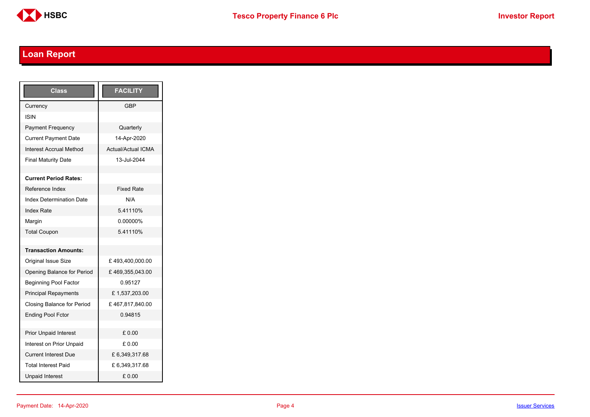

# <span id="page-3-0"></span>**Loan Report**

| <b>Class</b>                    | <b>FACILITY</b>           |
|---------------------------------|---------------------------|
| Currency                        | GBP                       |
| <b>ISIN</b>                     |                           |
| <b>Payment Frequency</b>        | Quarterly                 |
| <b>Current Payment Date</b>     | 14-Apr-2020               |
| <b>Interest Accrual Method</b>  | <b>Actual/Actual ICMA</b> |
| <b>Final Maturity Date</b>      | 13-Jul-2044               |
|                                 |                           |
| <b>Current Period Rates:</b>    |                           |
| Reference Index                 | <b>Fixed Rate</b>         |
| <b>Index Determination Date</b> | N/A                       |
| <b>Index Rate</b>               | 5.41110%                  |
| Margin                          | 0.00000%                  |
| <b>Total Coupon</b>             | 5.41110%                  |
|                                 |                           |
| <b>Transaction Amounts:</b>     |                           |
| Original Issue Size             | £493,400,000.00           |
| Opening Balance for Period      | £469,355,043.00           |
| <b>Beginning Pool Factor</b>    | 0.95127                   |
| <b>Principal Repayments</b>     | £1,537,203.00             |
| Closing Balance for Period      | £467,817,840.00           |
| <b>Ending Pool Fctor</b>        | 0.94815                   |
|                                 |                           |
| <b>Prior Unpaid Interest</b>    | £0.00                     |
| Interest on Prior Unpaid        | £ 0.00                    |
| <b>Current Interest Due</b>     | £6,349,317.68             |
| <b>Total Interest Paid</b>      | £ 6,349,317.68            |
| <b>Unpaid Interest</b>          | £0.00                     |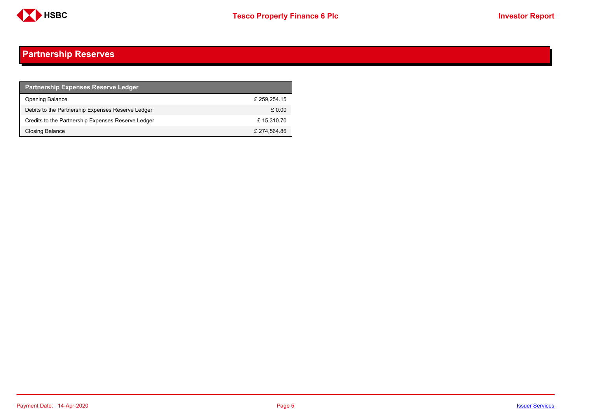

## <span id="page-4-0"></span>**Partnership Reserves**

| <b>Partnership Expenses Reserve Ledger</b>         |              |
|----------------------------------------------------|--------------|
| <b>Opening Balance</b>                             | £259.254.15  |
| Debits to the Partnership Expenses Reserve Ledger  | £ 0.00       |
| Credits to the Partnership Expenses Reserve Ledger | £15,310.70   |
| Closing Balance                                    | £ 274,564.86 |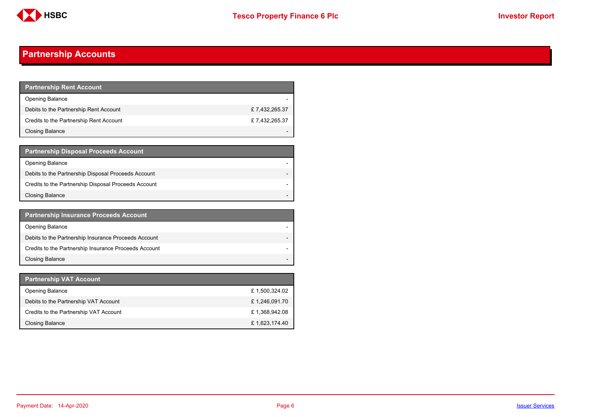

## <span id="page-5-0"></span>**Partnership Accounts**

| Partnership Rent Account <b>P</b>       |               |
|-----------------------------------------|---------------|
| <b>Opening Balance</b>                  |               |
| Debits to the Partnership Rent Account  | £7,432,265.37 |
| Credits to the Partnership Rent Account | £7.432.265.37 |
| Closing Balance                         |               |

| <b>Partnership Disposal Proceeds Account</b>         |  |
|------------------------------------------------------|--|
| <b>Opening Balance</b>                               |  |
| Debits to the Partnership Disposal Proceeds Account  |  |
| Credits to the Partnership Disposal Proceeds Account |  |
| <b>Closing Balance</b>                               |  |

| <b>Partnership Insurance Proceeds Account</b>         |  |
|-------------------------------------------------------|--|
| <b>Opening Balance</b>                                |  |
| Debits to the Partnership Insurance Proceeds Account  |  |
| Credits to the Partnership Insurance Proceeds Account |  |
| <b>Closing Balance</b>                                |  |

| <b>Partnership VAT Account</b>         |               |
|----------------------------------------|---------------|
| <b>Opening Balance</b>                 | £1,500,324.02 |
| Debits to the Partnership VAT Account  | £1,246,091.70 |
| Credits to the Partnership VAT Account | £1,368,942.08 |
| Closing Balance                        | £1,623,174.40 |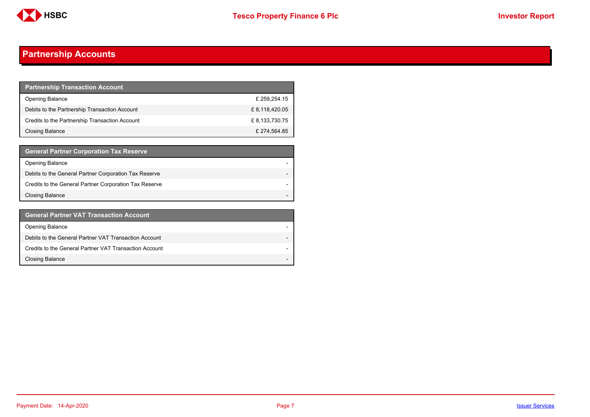

## **Partnership Accounts**

| <b>Partnership Transaction Account</b>         |               |
|------------------------------------------------|---------------|
| <b>Opening Balance</b>                         | £ 259,254.15  |
| Debits to the Partnership Transaction Account  | £8,118,420.05 |
| Credits to the Partnership Transaction Account | £8,133,730.75 |
| Closing Balance                                | £ 274,564.85  |

| <b>General Partner Corporation Tax Reserve</b>         |  |
|--------------------------------------------------------|--|
| <b>Opening Balance</b>                                 |  |
| Debits to the General Partner Corporation Tax Reserve  |  |
| Credits to the General Partner Corporation Tax Reserve |  |
| <b>Closing Balance</b>                                 |  |

| <b>General Partner VAT Transaction Account</b>         |  |
|--------------------------------------------------------|--|
| <b>Opening Balance</b>                                 |  |
| Debits to the General Partner VAT Transaction Account  |  |
| Credits to the General Partner VAT Transaction Account |  |
| <b>Closing Balance</b>                                 |  |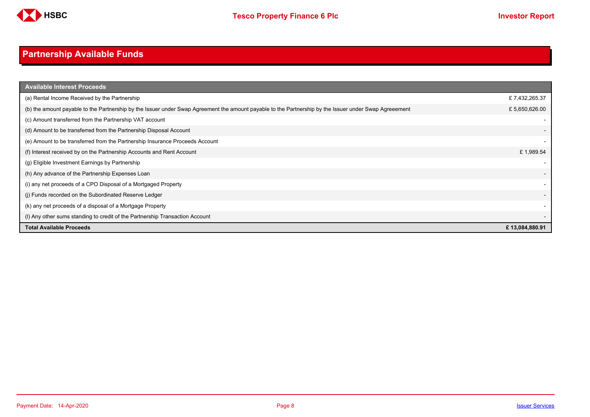

# <span id="page-7-0"></span>**Partnership Available Funds**

| <b>Available Interest Proceeds</b>                                                                                                                     |                |
|--------------------------------------------------------------------------------------------------------------------------------------------------------|----------------|
| (a) Rental Income Received by the Partnership                                                                                                          | £7,432,265.37  |
| (b) the amount payable to the Partnership by the Issuer under Swap Agreement the amount payable to the Partnership by the Issuer under Swap Agreeement | £5,650,626.00  |
| (c) Amount transferred from the Partnership VAT account                                                                                                |                |
| (d) Amount to be transferred from the Partnership Disposal Account                                                                                     |                |
| (e) Amount to be transferred from the Partnership Insurance Proceeds Account                                                                           |                |
| (f) Interest received by on the Partnership Accounts and Rent Account                                                                                  | £1,989.54      |
| (g) Eligible Investment Earnings by Partnership                                                                                                        |                |
| (h) Any advance of the Partnership Expenses Loan                                                                                                       |                |
| (i) any net proceeds of a CPO Disposal of a Mortgaged Property                                                                                         |                |
| (j) Funds recorded on the Subordinated Reserve Ledger                                                                                                  |                |
| (k) any net proceeds of a disposal of a Mortgage Property                                                                                              |                |
| (I) Any other sums standing to credit of the Partnership Transaction Account                                                                           |                |
| <b>Total Available Proceeds</b>                                                                                                                        | £13,084,880.91 |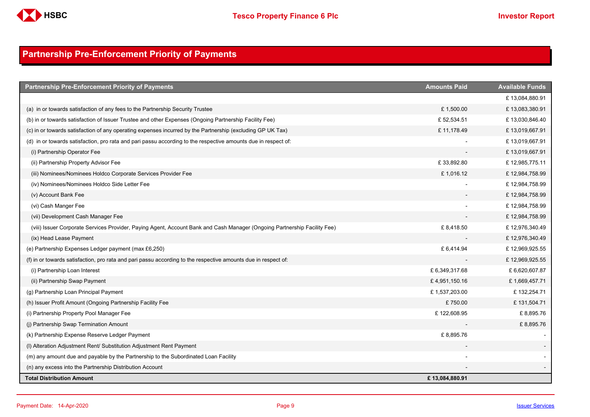

## <span id="page-8-0"></span>**Partnership Pre-Enforcement Priority of Payments**

| <b>Partnership Pre-Enforcement Priority of Payments</b>                                                                   | <b>Amounts Paid</b> | <b>Available Funds</b> |
|---------------------------------------------------------------------------------------------------------------------------|---------------------|------------------------|
|                                                                                                                           |                     | £13,084,880.91         |
| (a) in or towards satisfaction of any fees to the Partnership Security Trustee                                            | £1,500.00           | £13,083,380.91         |
| (b) in or towards satisfaction of Issuer Trustee and other Expenses (Ongoing Partnership Facility Fee)                    | £52,534.51          | £13,030,846.40         |
| (c) in or towards satisfaction of any operating expenses incurred by the Partnership (excluding GP UK Tax)                | £11,178.49          | £13,019,667.91         |
| (d) in or towards satisfaction, pro rata and pari passu according to the respective amounts due in respect of:            |                     | £13,019,667.91         |
| (i) Partnership Operator Fee                                                                                              |                     | £13,019,667.91         |
| (ii) Partnership Property Advisor Fee                                                                                     | £33,892.80          | £12,985,775.11         |
| (iii) Nominees/Nominees Holdco Corporate Services Provider Fee                                                            | £1,016.12           | £12,984,758.99         |
| (iv) Nominees/Nominees Holdco Side Letter Fee                                                                             |                     | £12,984,758.99         |
| (v) Account Bank Fee                                                                                                      |                     | £12,984,758.99         |
| (vi) Cash Manger Fee                                                                                                      |                     | £12,984,758.99         |
| (vii) Development Cash Manager Fee                                                                                        |                     | £12,984,758.99         |
| (viii) Issuer Corporate Services Provider, Paying Agent, Account Bank and Cash Manager (Ongoing Partnership Facility Fee) | £8,418.50           | £12,976,340.49         |
| (ix) Head Lease Payment                                                                                                   |                     | £12,976,340.49         |
| (e) Partnership Expenses Ledger payment (max £6,250)                                                                      | £ 6,414.94          | £12,969,925.55         |
| (f) in or towards satisfaction, pro rata and pari passu according to the respective amounts due in respect of:            |                     | £12,969,925.55         |
| (i) Partnership Loan Interest                                                                                             | £6,349,317.68       | £ 6,620,607.87         |
| (ii) Partnership Swap Payment                                                                                             | £4,951,150.16       | £1,669,457.71          |
| (g) Partnership Loan Principal Payment                                                                                    | £1,537,203.00       | £132,254.71            |
| (h) Issuer Profit Amount (Ongoing Partnership Facility Fee                                                                | £750.00             | £131,504.71            |
| (i) Partnership Property Pool Manager Fee                                                                                 | £122,608.95         | £8,895.76              |
| (i) Partnership Swap Termination Amount                                                                                   |                     | £8,895.76              |
| (k) Partnership Expense Reserve Ledger Payment                                                                            | £8,895.76           |                        |
| (I) Alteration Adjustment Rent/ Substitution Adjustment Rent Payment                                                      |                     |                        |
| (m) any amount due and payable by the Partnership to the Subordinated Loan Facility                                       |                     |                        |
| (n) any excess into the Partnership Distribution Account                                                                  |                     |                        |
| <b>Total Distribution Amount</b>                                                                                          | £13,084,880.91      |                        |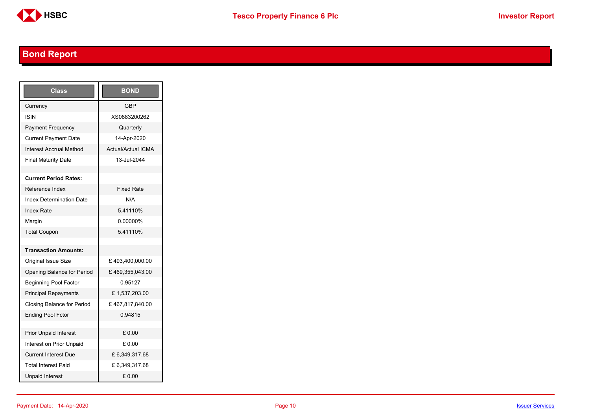

# <span id="page-9-0"></span>**Bond Report**

| Class                           | <b>BOND</b>               |
|---------------------------------|---------------------------|
| Currency                        | <b>GBP</b>                |
| ISIN                            | XS0883200262              |
| Payment Frequency               | Quarterly                 |
| <b>Current Payment Date</b>     | 14-Apr-2020               |
| Interest Accrual Method         | <b>Actual/Actual ICMA</b> |
| <b>Final Maturity Date</b>      | 13-Jul-2044               |
|                                 |                           |
| <b>Current Period Rates:</b>    |                           |
| Reference Index                 | <b>Fixed Rate</b>         |
| <b>Index Determination Date</b> | N/A                       |
| <b>Index Rate</b>               | 5.41110%                  |
| Margin                          | 0.00000%                  |
| <b>Total Coupon</b>             | 5.41110%                  |
|                                 |                           |
| <b>Transaction Amounts:</b>     |                           |
| Original Issue Size             | £493,400,000.00           |
| Opening Balance for Period      | £469,355,043.00           |
| <b>Beginning Pool Factor</b>    | 0.95127                   |
| <b>Principal Repayments</b>     | £1,537,203.00             |
| Closing Balance for Period      | £467,817,840.00           |
| <b>Ending Pool Fctor</b>        | 0.94815                   |
|                                 |                           |
| <b>Prior Unpaid Interest</b>    | £ 0.00                    |
| Interest on Prior Unpaid        | £ 0.00                    |
| <b>Current Interest Due</b>     | £6,349,317.68             |
| <b>Total Interest Paid</b>      | £ 6,349,317.68            |
| <b>Unpaid Interest</b>          | £0.00                     |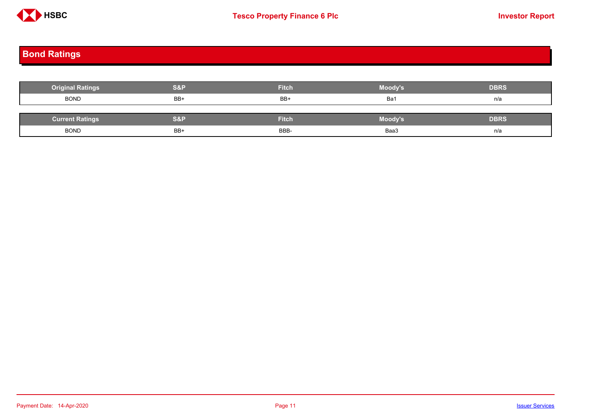

## <span id="page-10-0"></span>**Bond Ratings**

| <b>Original Ratings</b> | S&P | <b>Fitch</b> | Moody's | <b>DBRS</b> |
|-------------------------|-----|--------------|---------|-------------|
| <b>BOND</b>             | BB+ | BB+          | Ba1     | n/a         |
|                         |     |              |         |             |
| <b>Current Ratings</b>  | S&P | <b>Fitch</b> | Moody's | <b>DBRS</b> |
| <b>BOND</b>             | BB+ | BBB-         | Baa3    | n/a         |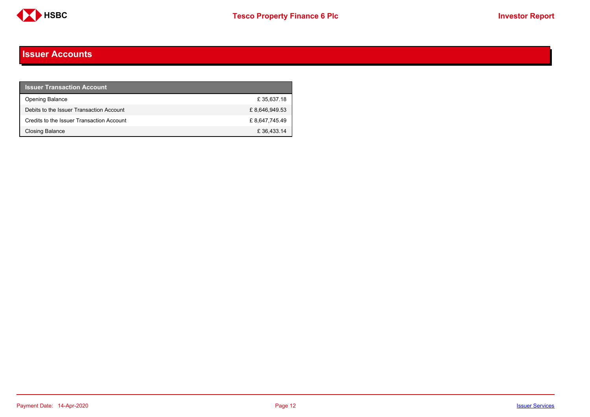

#### <span id="page-11-0"></span>**Issuer Accounts**

| <b>Issuer Transaction Account</b>         |               |
|-------------------------------------------|---------------|
| <b>Opening Balance</b>                    | £35.637.18    |
| Debits to the Issuer Transaction Account  | £8.646.949.53 |
| Credits to the Issuer Transaction Account | £8.647.745.49 |
| Closing Balance                           | £36,433.14    |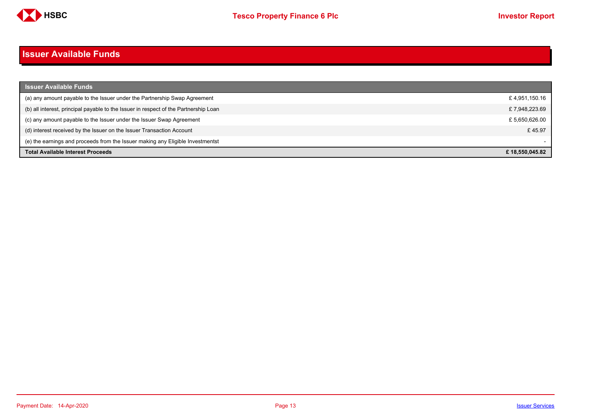

#### <span id="page-12-0"></span>**Issuer Available Funds**

| <b>Issuer Available Funds</b>                                                        |                |
|--------------------------------------------------------------------------------------|----------------|
| (a) any amount payable to the Issuer under the Partnership Swap Agreement            | £4,951,150.16  |
| (b) all interest, principal payable to the Issuer in respect of the Partnership Loan | £7,948,223.69  |
| (c) any amount payable to the Issuer under the Issuer Swap Agreement                 | £5,650,626.00  |
| (d) interest received by the Issuer on the Issuer Transaction Account                | £45.97         |
| (e) the earnings and proceeds from the Issuer making any Eligible Investmentst       |                |
| Total Available Interest Proceeds                                                    | £18.550.045.82 |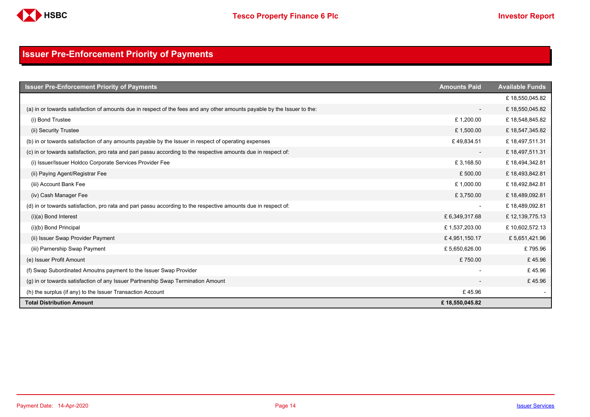

## <span id="page-13-0"></span>**Issuer Pre-Enforcement Priority of Payments**

| <b>Issuer Pre-Enforcement Priority of Payments</b>                                                                       | <b>Amounts Paid</b>      | <b>Available Funds</b> |
|--------------------------------------------------------------------------------------------------------------------------|--------------------------|------------------------|
|                                                                                                                          |                          | £18,550,045.82         |
| (a) in or towards satisfaction of amounts due in respect of the fees and any other amounts payable by the Issuer to the: | $\overline{\phantom{a}}$ | £18,550,045.82         |
| (i) Bond Trustee                                                                                                         | £1,200.00                | £18,548,845.82         |
| (ii) Security Trustee                                                                                                    | £1,500.00                | £18,547,345.82         |
| (b) in or towards satisfaction of any amounts payable by the Issuer in respect of operating expenses                     | £49,834.51               | £18,497,511.31         |
| (c) in or towards satisfaction, pro rata and pari passu according to the respective amounts due in respect of:           | $\overline{\phantom{a}}$ | £18,497,511.31         |
| (i) Issuer/Issuer Holdco Corporate Services Provider Fee                                                                 | £3,168.50                | £18,494,342.81         |
| (ii) Paying Agent/Registrar Fee                                                                                          | £500.00                  | £18,493,842.81         |
| (iii) Account Bank Fee                                                                                                   | £1,000.00                | £18,492,842.81         |
| (iv) Cash Manager Fee                                                                                                    | £3,750.00                | £18,489,092.81         |
| (d) in or towards satisfaction, pro rata and pari passu according to the respective amounts due in respect of:           | $\overline{\phantom{a}}$ | £18,489,092.81         |
| $(i)(a)$ Bond Interest                                                                                                   | £ 6,349,317.68           | £12,139,775.13         |
| (i)(b) Bond Principal                                                                                                    | £1,537,203.00            | £10,602,572.13         |
| (ii) Issuer Swap Provider Payment                                                                                        | £4,951,150.17            | £5,651,421.96          |
| (iii) Parnership Swap Payment                                                                                            | £5,650,626.00            | £795.96                |
| (e) Issuer Profit Amount                                                                                                 | £750.00                  | £45.96                 |
| (f) Swap Subordinated Amoutns payment to the Issuer Swap Provider                                                        |                          | £45.96                 |
| (g) in or towards satisfaction of any Issuer Partnership Swap Termination Amount                                         |                          | £45.96                 |
| (h) the surplus (if any) to the Issuer Transaction Account                                                               | £45.96                   |                        |
| <b>Total Distribution Amount</b>                                                                                         | £18,550,045.82           |                        |